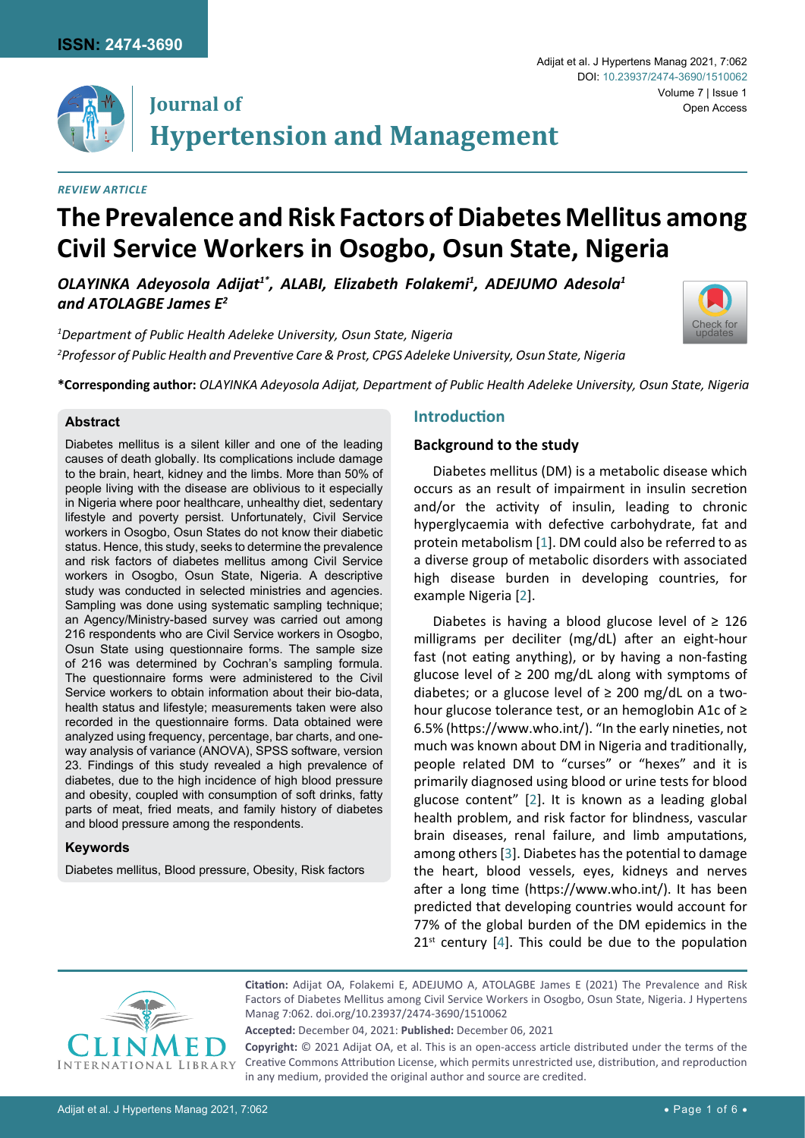

### *Review Article*

# **The Prevalence and Risk Factors of Diabetes Mellitus among Civil Service Workers in Osogbo, Osun State, Nigeria**

*OLAYINKA Adeyosola Adijat1\*, ALABI, Elizabeth Folakemi1 , ADEJUMO Adesola1 and ATOLAGBE James E2*

*1 Department of Public Health Adeleke University, Osun State, Nigeria 2 Professor of Public Health and Preventive Care & Prost, CPGS Adeleke University, Osun State, Nigeria*



#### **Abstract**

Diabetes mellitus is a silent killer and one of the leading causes of death globally. Its complications include damage to the brain, heart, kidney and the limbs. More than 50% of people living with the disease are oblivious to it especially in Nigeria where poor healthcare, unhealthy diet, sedentary lifestyle and poverty persist. Unfortunately, Civil Service workers in Osogbo, Osun States do not know their diabetic status. Hence, this study, seeks to determine the prevalence and risk factors of diabetes mellitus among Civil Service workers in Osogbo, Osun State, Nigeria. A descriptive study was conducted in selected ministries and agencies. Sampling was done using systematic sampling technique; an Agency/Ministry-based survey was carried out among 216 respondents who are Civil Service workers in Osogbo, Osun State using questionnaire forms. The sample size of 216 was determined by Cochran's sampling formula. The questionnaire forms were administered to the Civil Service workers to obtain information about their bio-data, health status and lifestyle; measurements taken were also recorded in the questionnaire forms. Data obtained were analyzed using frequency, percentage, bar charts, and oneway analysis of variance (ANOVA), SPSS software, version 23. Findings of this study revealed a high prevalence of diabetes, due to the high incidence of high blood pressure and obesity, coupled with consumption of soft drinks, fatty parts of meat, fried meats, and family history of diabetes and blood pressure among the respondents.

#### **Keywords**

Diabetes mellitus, Blood pressure, Obesity, Risk factors

## **Introduction**

#### **Background to the study**

Diabetes mellitus (DM) is a metabolic disease which occurs as an result of impairment in insulin secretion and/or the activity of insulin, leading to chronic hyperglycaemia with defective carbohydrate, fat and protein metabolism [[1](#page-5-0)]. DM could also be referred to as a diverse group of metabolic disorders with associated high disease burden in developing countries, for example Nigeria [\[2](#page-5-1)].

Diabetes is having a blood glucose level of  $\geq 126$ milligrams per deciliter (mg/dL) after an eight-hour fast (not eating anything), or by having a non-fasting glucose level of  $\geq$  200 mg/dL along with symptoms of diabetes; or a glucose level of  $\geq$  200 mg/dL on a twohour glucose tolerance test, or an hemoglobin A1c of ≥ 6.5% (<https://www.who.int/>). "In the early nineties, not much was known about DM in Nigeria and traditionally, people related DM to "curses" or "hexes" and it is primarily diagnosed using blood or urine tests for blood glucose content" [[2](#page-5-1)]. It is known as a leading global health problem, and risk factor for blindness, vascular brain diseases, renal failure, and limb amputations, among others [\[3](#page-5-2)]. Diabetes has the potential to damage the heart, blood vessels, eyes, kidneys and nerves after a long time [\(https://www.who.int/](https://www.who.int/)). It has been predicted that developing countries would account for 77% of the global burden of the DM epidemics in the  $21^{st}$  century [[4](#page-5-3)]. This could be due to the population



**Citation:** Adijat OA, Folakemi E, ADEJUMO A, ATOLAGBE James E (2021) The Prevalence and Risk Factors of Diabetes Mellitus among Civil Service Workers in Osogbo, Osun State, Nigeria. J Hypertens Manag 7:062. [doi.org/10.23937/2474-3690/1510062](https://doi.org/10.23937/2474-3690/1510062)

**Accepted:** December 04, 2021: **Published:** December 06, 2021

**Copyright:** © 2021 Adijat OA, et al. This is an open-access article distributed under the terms of the Creative Commons Attribution License, which permits unrestricted use, distribution, and reproduction in any medium, provided the original author and source are credited.

Volume 7 | Issue 1

Open Access

Adijat et al. J Hypertens Manag 2021, 7:062

DOI: [10.23937/2474-3690/1510062](https://doi.org/10.23937/2474-3690/1510062)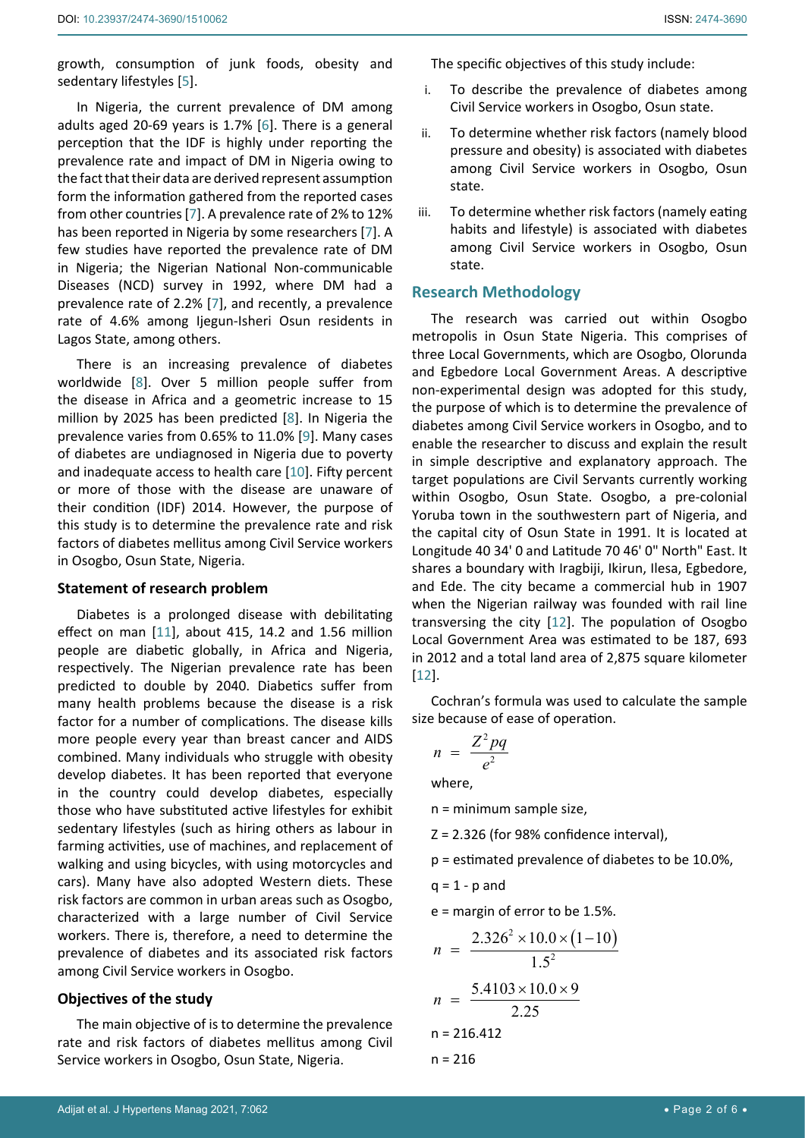growth, consumption of junk foods, obesity and sedentary lifestyles [[5](#page-5-4)].

In Nigeria, the current prevalence of DM among adults aged 20-69 years is 1.7% [[6](#page-5-5)]. There is a general perception that the IDF is highly under reporting the prevalence rate and impact of DM in Nigeria owing to the fact that their data are derived represent assumption form the information gathered from the reported cases from other countries [\[7\]](#page-5-6). A prevalence rate of 2% to 12% has been reported in Nigeria by some researchers [\[7\]](#page-5-6). A few studies have reported the prevalence rate of DM in Nigeria; the Nigerian National Non-communicable Diseases (NCD) survey in 1992, where DM had a prevalence rate of 2.2% [\[7\]](#page-5-6), and recently, a prevalence rate of 4.6% among Ijegun-Isheri Osun residents in Lagos State, among others.

There is an increasing prevalence of diabetes worldwide [[8](#page-5-7)]. Over 5 million people suffer from the disease in Africa and a geometric increase to 15 million by 2025 has been predicted [\[8\]](#page-5-7). In Nigeria the prevalence varies from 0.65% to 11.0% [[9](#page-5-8)]. Many cases of diabetes are undiagnosed in Nigeria due to poverty and inadequate access to health care [\[10](#page-5-9)]. Fifty percent or more of those with the disease are unaware of their condition (IDF) 2014. However, the purpose of this study is to determine the prevalence rate and risk factors of diabetes mellitus among Civil Service workers in Osogbo, Osun State, Nigeria.

### **Statement of research problem**

Diabetes is a prolonged disease with debilitating effect on man [[11\]](#page-5-10), about 415, 14.2 and 1.56 million people are diabetic globally, in Africa and Nigeria, respectively. The Nigerian prevalence rate has been predicted to double by 2040. Diabetics suffer from many health problems because the disease is a risk factor for a number of complications. The disease kills more people every year than breast cancer and AIDS combined. Many individuals who struggle with obesity develop diabetes. It has been reported that everyone in the country could develop diabetes, especially those who have substituted active lifestyles for exhibit sedentary lifestyles (such as hiring others as labour in farming activities, use of machines, and replacement of walking and using bicycles, with using motorcycles and cars). Many have also adopted Western diets. These risk factors are common in urban areas such as Osogbo, characterized with a large number of Civil Service workers. There is, therefore, a need to determine the prevalence of diabetes and its associated risk factors among Civil Service workers in Osogbo.

# **Objectives of the study**

The main objective of is to determine the prevalence rate and risk factors of diabetes mellitus among Civil Service workers in Osogbo, Osun State, Nigeria.

The specific objectives of this study include:

- i. To describe the prevalence of diabetes among Civil Service workers in Osogbo, Osun state.
- ii. To determine whether risk factors (namely blood pressure and obesity) is associated with diabetes among Civil Service workers in Osogbo, Osun state.
- iii. To determine whether risk factors (namely eating habits and lifestyle) is associated with diabetes among Civil Service workers in Osogbo, Osun state.

## **Research Methodology**

The research was carried out within Osogbo metropolis in Osun State Nigeria. This comprises of three Local Governments, which are Osogbo, Olorunda and Egbedore Local Government Areas. A descriptive non-experimental design was adopted for this study, the purpose of which is to determine the prevalence of diabetes among Civil Service workers in Osogbo, and to enable the researcher to discuss and explain the result in simple descriptive and explanatory approach. The target populations are Civil Servants currently working within Osogbo, Osun State. Osogbo, a pre-colonial Yoruba town in the southwestern part of Nigeria, and the capital city of Osun State in 1991. It is located at Longitude 40 34' 0 and Latitude 70 46' 0" North" East. It shares a boundary with Iragbiji, Ikirun, Ilesa, Egbedore, and Ede. The city became a commercial hub in 1907 when the Nigerian railway was founded with rail line transversing the city [[12](#page-5-11)]. The population of Osogbo Local Government Area was estimated to be 187, 693 in 2012 and a total land area of 2,875 square kilometer [\[12](#page-5-11)].

Cochran's formula was used to calculate the sample size because of ease of operation.

$$
n = \frac{Z^2 pq}{e^2}
$$

where,

n = minimum sample size,

 $Z = 2.326$  (for 98% confidence interval),

p = estimated prevalence of diabetes to be 10.0%,

 $q = 1 - p$  and

e = margin of error to be 1.5%.

$$
n = \frac{2.326^2 \times 10.0 \times (1 - 10)}{1.5^2}
$$
  

$$
n = \frac{5.4103 \times 10.0 \times 9}{2.25}
$$
  
n = 216.412  
n = 216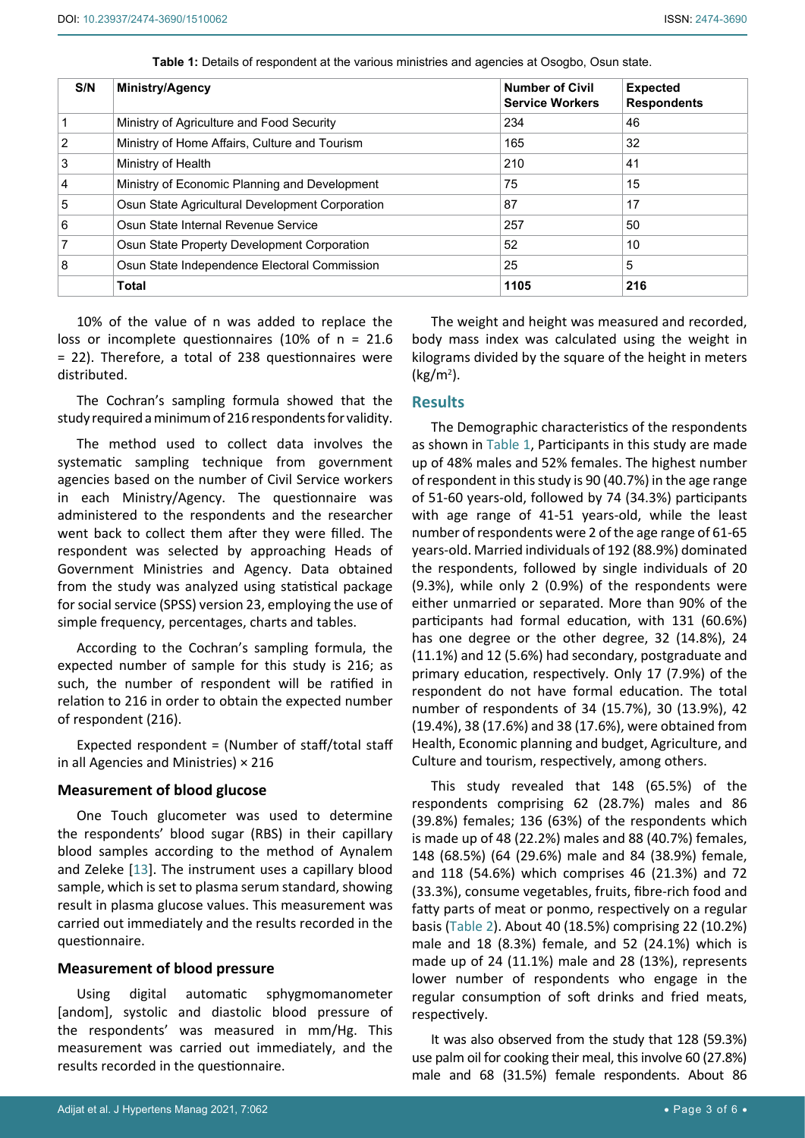| S/N | <b>Ministry/Agency</b>                          | <b>Number of Civil</b><br><b>Service Workers</b> | <b>Expected</b><br><b>Respondents</b> |
|-----|-------------------------------------------------|--------------------------------------------------|---------------------------------------|
|     | Ministry of Agriculture and Food Security       | 234                                              | 46                                    |
| 2   | Ministry of Home Affairs, Culture and Tourism   | 165                                              | 32                                    |
| 3   | Ministry of Health                              | 210                                              | 41                                    |
| 4   | Ministry of Economic Planning and Development   | 75                                               | 15                                    |
| 5   | Osun State Agricultural Development Corporation | 87                                               | 17                                    |
| 6   | Osun State Internal Revenue Service             | 257                                              | 50                                    |
| 7   | Osun State Property Development Corporation     | 52                                               | 10                                    |
| 8   | Osun State Independence Electoral Commission    | 25                                               | 5                                     |
|     | <b>Total</b>                                    | 1105                                             | 216                                   |

<span id="page-2-0"></span>**Table 1:** Details of respondent at the various ministries and agencies at Osogbo, Osun state.

10% of the value of n was added to replace the loss or incomplete questionnaires (10% of n = 21.6 = 22). Therefore, a total of 238 questionnaires were distributed.

The Cochran's sampling formula showed that the study required a minimum of 216 respondents for validity.

The method used to collect data involves the systematic sampling technique from government agencies based on the number of Civil Service workers in each Ministry/Agency. The questionnaire was administered to the respondents and the researcher went back to collect them after they were filled. The respondent was selected by approaching Heads of Government Ministries and Agency. Data obtained from the study was analyzed using statistical package for social service (SPSS) version 23, employing the use of simple frequency, percentages, charts and tables.

According to the Cochran's sampling formula, the expected number of sample for this study is 216; as such, the number of respondent will be ratified in relation to 216 in order to obtain the expected number of respondent (216).

Expected respondent = (Number of staff/total staff in all Agencies and Ministries) × 216

#### **Measurement of blood glucose**

One Touch glucometer was used to determine the respondents' blood sugar (RBS) in their capillary blood samples according to the method of Aynalem and Zeleke [[13\]](#page-5-12). The instrument uses a capillary blood sample, which is set to plasma serum standard, showing result in plasma glucose values. This measurement was carried out immediately and the results recorded in the questionnaire.

#### **Measurement of blood pressure**

Using digital automatic sphygmomanometer [andom], systolic and diastolic blood pressure of the respondents' was measured in mm/Hg. This measurement was carried out immediately, and the results recorded in the questionnaire.

The weight and height was measured and recorded, body mass index was calculated using the weight in kilograms divided by the square of the height in meters (kg/m2 ).

#### **Results**

The Demographic characteristics of the respondents as shown in [Table 1](#page-2-0), Participants in this study are made up of 48% males and 52% females. The highest number of respondent in this study is 90 (40.7%) in the age range of 51-60 years-old, followed by 74 (34.3%) participants with age range of 41-51 years-old, while the least number of respondents were 2 of the age range of 61-65 years-old. Married individuals of 192 (88.9%) dominated the respondents, followed by single individuals of 20 (9.3%), while only 2 (0.9%) of the respondents were either unmarried or separated. More than 90% of the participants had formal education, with 131 (60.6%) has one degree or the other degree, 32 (14.8%), 24 (11.1%) and 12 (5.6%) had secondary, postgraduate and primary education, respectively. Only 17 (7.9%) of the respondent do not have formal education. The total number of respondents of 34 (15.7%), 30 (13.9%), 42 (19.4%), 38 (17.6%) and 38 (17.6%), were obtained from Health, Economic planning and budget, Agriculture, and Culture and tourism, respectively, among others.

This study revealed that 148 (65.5%) of the respondents comprising 62 (28.7%) males and 86 (39.8%) females; 136 (63%) of the respondents which is made up of 48 (22.2%) males and 88 (40.7%) females, 148 (68.5%) (64 (29.6%) male and 84 (38.9%) female, and 118 (54.6%) which comprises 46 (21.3%) and 72 (33.3%), consume vegetables, fruits, fibre-rich food and fatty parts of meat or ponmo, respectively on a regular basis ([Table 2](#page-3-0)). About 40 (18.5%) comprising 22 (10.2%) male and 18 (8.3%) female, and 52 (24.1%) which is made up of 24 (11.1%) male and 28 (13%), represents lower number of respondents who engage in the regular consumption of soft drinks and fried meats, respectively.

It was also observed from the study that 128 (59.3%) use palm oil for cooking their meal, this involve 60 (27.8%) male and 68 (31.5%) female respondents. About 86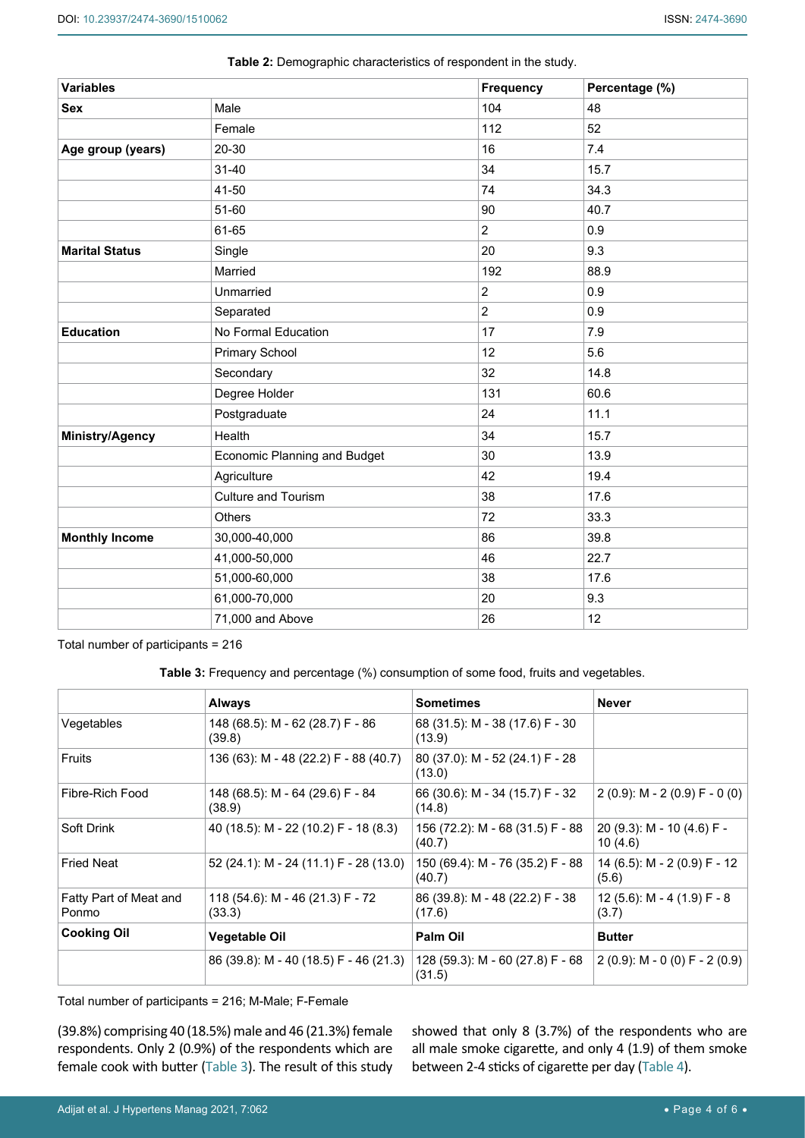| <b>Variables</b>       |                                     | <b>Frequency</b> | Percentage (%) |
|------------------------|-------------------------------------|------------------|----------------|
| <b>Sex</b>             | Male                                | 104              | 48             |
|                        | Female                              | 112              | 52             |
| Age group (years)      | 20-30                               | 16               | 7.4            |
|                        | $31 - 40$                           | 34               | 15.7           |
|                        | 41-50                               | 74               | 34.3           |
|                        | 51-60                               | 90               | 40.7           |
|                        | 61-65                               | $\overline{2}$   | 0.9            |
| <b>Marital Status</b>  | Single                              | 20               | 9.3            |
|                        | Married                             | 192              | 88.9           |
|                        | Unmarried                           | $\overline{c}$   | 0.9            |
|                        | Separated                           | $\overline{2}$   | 0.9            |
| <b>Education</b>       | No Formal Education                 | 17               | 7.9            |
|                        | <b>Primary School</b>               | 12               | 5.6            |
|                        | Secondary                           | 32               | 14.8           |
|                        | Degree Holder                       | 131              | 60.6           |
|                        | Postgraduate                        | 24               | 11.1           |
| <b>Ministry/Agency</b> | Health                              | 34               | 15.7           |
|                        | <b>Economic Planning and Budget</b> | 30               | 13.9           |
|                        | Agriculture                         | 42               | 19.4           |
|                        | <b>Culture and Tourism</b>          | 38               | 17.6           |
|                        | Others                              | 72               | 33.3           |
| <b>Monthly Income</b>  | 30,000-40,000                       | 86               | 39.8           |
|                        | 41,000-50,000                       | 46               | 22.7           |
|                        | 51,000-60,000                       | 38               | 17.6           |
|                        | 61,000-70,000                       | 20               | 9.3            |
|                        | 71,000 and Above                    | 26               | 12             |

<span id="page-3-0"></span>**Table 2:** Demographic characteristics of respondent in the study.

Total number of participants = 216

<span id="page-3-1"></span>**Table 3:** Frequency and percentage (%) consumption of some food, fruits and vegetables.

|                                 | <b>Always</b>                              | <b>Sometimes</b>                           | <b>Never</b>                             |
|---------------------------------|--------------------------------------------|--------------------------------------------|------------------------------------------|
| Vegetables                      | 148 (68.5): M - 62 (28.7) F - 86<br>(39.8) | 68 (31.5): M - 38 (17.6) F - 30<br>(13.9)  |                                          |
| Fruits                          | 136 (63): M - 48 (22.2) F - 88 (40.7)      | 80 (37.0): M - 52 (24.1) F - 28<br>(13.0)  |                                          |
| Fibre-Rich Food                 | 148 (68.5): M - 64 (29.6) F - 84<br>(38.9) | 66 (30.6): M - 34 (15.7) F - 32<br>(14.8)  | $2(0.9)$ : M - 2 $(0.9)$ F - 0 $(0)$     |
| Soft Drink                      | 40 (18.5): M - 22 (10.2) F - 18 (8.3)      | 156 (72.2): M - 68 (31.5) F - 88<br>(40.7) | 20 (9.3): M - 10 (4.6) F -<br>10(4.6)    |
| <b>Fried Neat</b>               | 52 (24.1): M - 24 (11.1) F - 28 (13.0)     | 150 (69.4): M - 76 (35.2) F - 88<br>(40.7) | 14 (6.5): M - 2 (0.9) F - 12<br>(5.6)    |
| Fatty Part of Meat and<br>Ponmo | 118 (54.6): M - 46 (21.3) F - 72<br>(33.3) | 86 (39.8): M - 48 (22.2) F - 38<br>(17.6)  | 12 (5.6): $M - 4$ (1.9) $F - 8$<br>(3.7) |
| <b>Cooking Oil</b>              | Vegetable Oil                              | Palm Oil                                   | <b>Butter</b>                            |
|                                 | 86 (39.8): M - 40 (18.5) F - 46 (21.3)     | 128 (59.3): M - 60 (27.8) F - 68<br>(31.5) | 2 (0.9): M - 0 (0) F - 2 (0.9)           |

Total number of participants = 216; M-Male; F-Female

(39.8%) comprising 40 (18.5%) male and 46 (21.3%) female respondents. Only 2 (0.9%) of the respondents which are female cook with butter ([Table 3](#page-3-1)). The result of this study showed that only 8 (3.7%) of the respondents who are all male smoke cigarette, and only 4 (1.9) of them smoke between 2-4 sticks of cigarette per day ([Table 4\)](#page-4-0).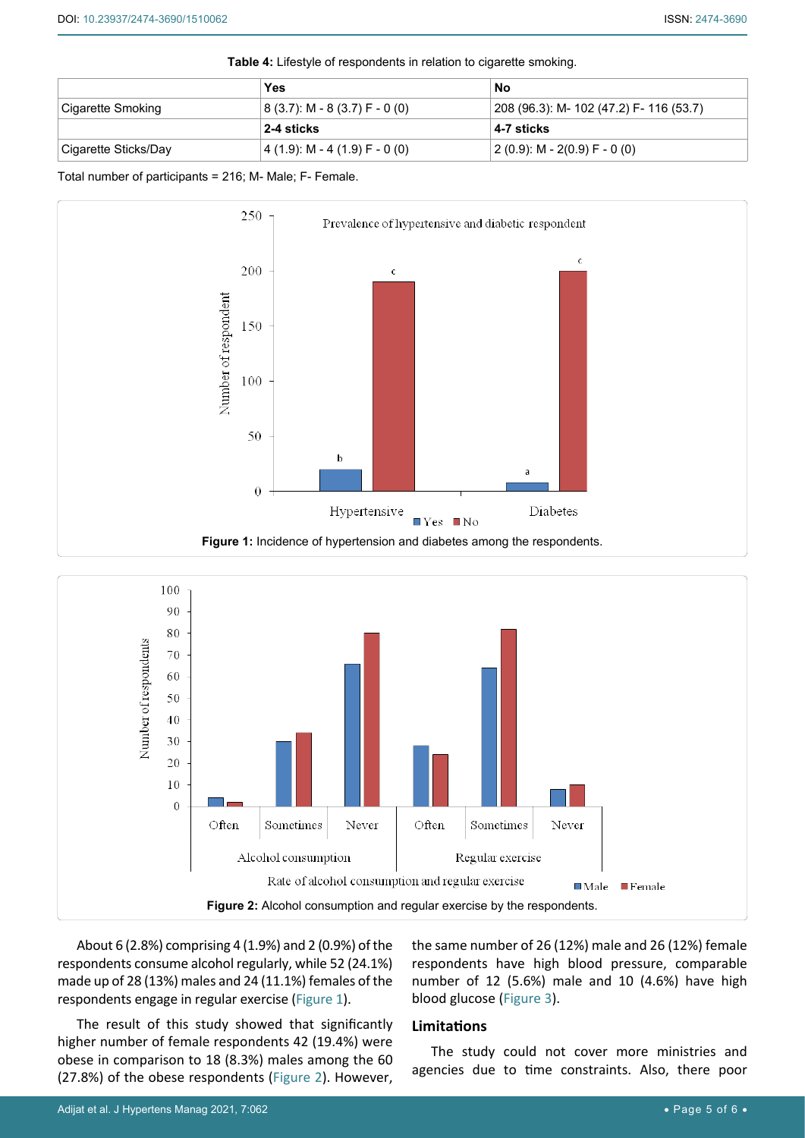<span id="page-4-0"></span>**Table 4:** Lifestyle of respondents in relation to cigarette smoking.

|                      | Yes                             | No                                      |  |
|----------------------|---------------------------------|-----------------------------------------|--|
| Cigarette Smoking    | $(8(3.7): M - 8(3.7) F - 0(0))$ | 208 (96.3): M- 102 (47.2) F- 116 (53.7) |  |
|                      | 2-4 sticks                      | 4-7 sticks                              |  |
| Cigarette Sticks/Day | 4 (1.9): M - 4 (1.9) F - 0 (0)  | 2 (0.9): M - 2(0.9) F - 0 (0)           |  |

Total number of participants = 216; M- Male; F- Female.

<span id="page-4-1"></span>

<span id="page-4-2"></span>

About 6 (2.8%) comprising 4 (1.9%) and 2 (0.9%) of the respondents consume alcohol regularly, while 52 (24.1%) made up of 28 (13%) males and 24 (11.1%) females of the respondents engage in regular exercise [\(Figure 1\)](#page-4-1).

The result of this study showed that significantly higher number of female respondents 42 (19.4%) were obese in comparison to 18 (8.3%) males among the 60 (27.8%) of the obese respondents ([Figure 2](#page-4-2)). However, the same number of 26 (12%) male and 26 (12%) female respondents have high blood pressure, comparable number of 12 (5.6%) male and 10 (4.6%) have high blood glucose [\(Figure 3](#page-5-13)).

#### **Limitations**

The study could not cover more ministries and agencies due to time constraints. Also, there poor